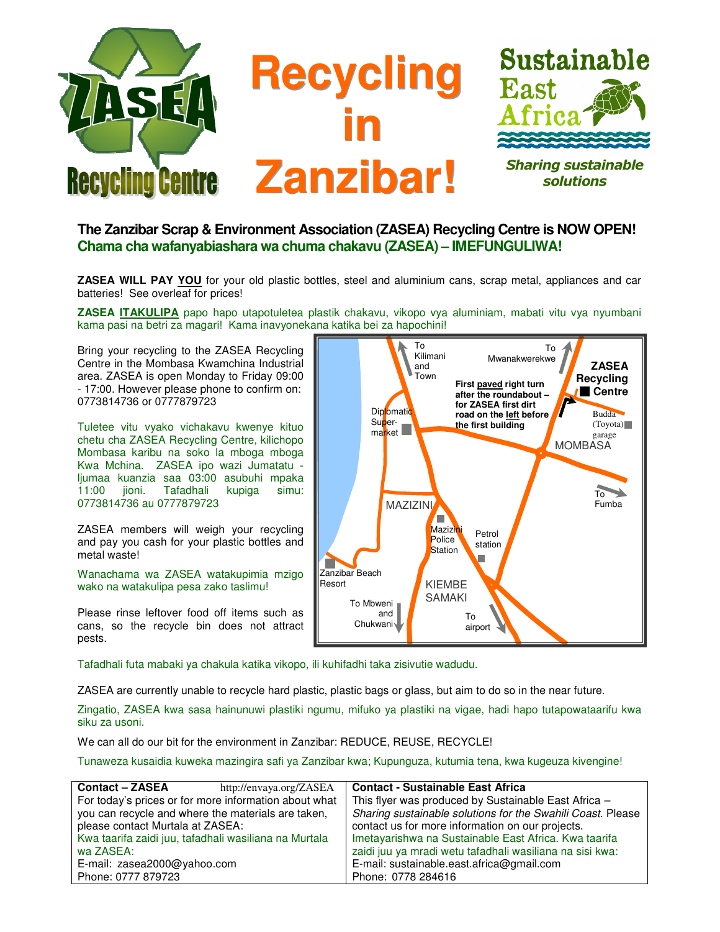

## **The Zanzibar Scrap & Environment Association (ZASEA) Recycling Centre is NOW OPEN! Chama cha wafanyabiashara wa chuma chakavu (ZASEA) – IMEFUNGULIWA!**

**ZASEA WILL PAY YOU** for your old plastic bottles, steel and aluminium cans, scrap metal, appliances and car batteries! See overleaf for prices!

**ZASEA ITAKULIPA** papo hapo utapotuletea plastik chakavu, vikopo vya aluminiam, mabati vitu vya nyumbani kama pasi na betri za magari! Kama inavyonekana katika bei za hapochini!

Bring your recycling to the ZASEA Recycling Centre in the Mombasa Kwamchina Industrial area. ZASEA is open Monday to Friday 09:00 - 17:00. However please phone to confirm on: 0773814736 or 0777879723

Tuletee vitu vyako vichakavu kwenye kituo chetu cha ZASEA Recycling Centre, kilichopo Mombasa karibu na soko la mboga mboga Kwa Mchina. ZASEA ipo wazi Jumatatu ljumaa kuanzia saa 03:00 asubuhi mpaka 11:00 jioni. Tafadhali kupiga simu: 0773814736 au 0777879723

ZASEA members will weigh your recycling and pay you cash for your plastic bottles and metal waste!

Wanachama wa ZASEA watakupimia mzigo wako na watakulipa pesa zako taslimu!

Please rinse leftover food off items such as cans, so the recycle bin does not attract pests.



Tafadhali futa mabaki ya chakula katika vikopo, ili kuhifadhi taka zisivutie wadudu.

ZASEA are currently unable to recycle hard plastic, plastic bags or glass, but aim to do so in the near future.

Zingatio, ZASEA kwa sasa hainunuwi plastiki ngumu, mifuko ya plastiki na vigae, hadi hapo tutapowataarifu kwa siku za usoni.

We can all do our bit for the environment in Zanzibar: REDUCE, REUSE, RECYCLE!

Tunaweza kusaidia kuweka mazingira safi ya Zanzibar kwa; Kupunguza, kutumia tena, kwa kugeuza kivengine!

| <b>Contact - ZASEA</b><br>http://envaya.org/ZASEA     | <b>Contact - Sustainable East Africa</b>                    |
|-------------------------------------------------------|-------------------------------------------------------------|
| For today's prices or for more information about what | This flyer was produced by Sustainable East Africa -        |
| you can recycle and where the materials are taken,    | Sharing sustainable solutions for the Swahili Coast. Please |
| please contact Murtala at ZASEA:                      | contact us for more information on our projects.            |
| Kwa taarifa zaidi juu, tafadhali wasiliana na Murtala | Imetayarishwa na Sustainable East Africa. Kwa taarifa       |
| wa ZASEA:                                             | zaidi juu ya mradi wetu tafadhali wasiliana na sisi kwa:    |
| E-mail: zasea2000@yahoo.com                           | E-mail: sustainable.east.africa@gmail.com                   |
| Phone: 0777 879723                                    | Phone: 0778 284616                                          |